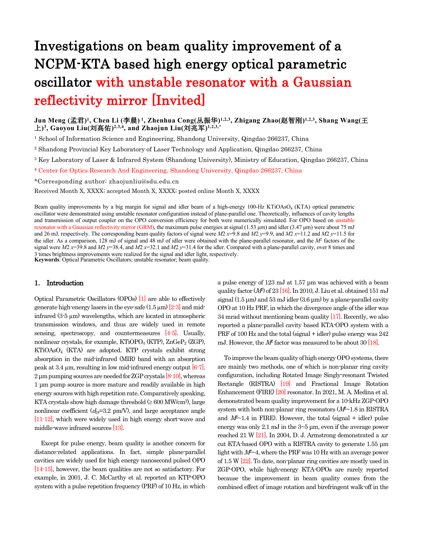# **Investigations on beam quality improvement of a NCPM-KTA based high energy optical parametric oscillator with unstable resonator with a Gaussian reflectivity mirror [Invited]**

**Jun Meng (孟君) 1 , Chen Li (李晨) <sup>1</sup>, Zhenhua Cong(丛振华) 1,2,3, Zhigang Zhao(赵智刚) 1,2,3, Shang Wang(王 上) 3 , Gaoyou Liu(刘高佑) 2,3,4, and Zhaojun Liu(刘兆军) 1,2,3,\***

<sup>1</sup> School of Information Science and Engineering, Shandong University, Qingdao 266237, China

- 2 Shandong Provincial Key Laboratory of Laser Technology and Application, Qingdao 266237, China
- <sup>3</sup> Key Laboratory of Laser & Infrared System (Shandong University), Ministry of Education, Qingdao 266237, China

<sup>4</sup> Center for Optics Research And Engineering, Shandong University, Qingdao 266237, China

\*Corresponding author: zhaojunliu@sdu.edu.cn

Received Month X, XXXX; accepted Month X, XXXX; posted online Month X, XXXX

Beam quality improvements by a big margin for signal and idler beam of a high-energy 100-Hz KTiOAsO<sub>4</sub> (KTA) optical parametric oscillator were demonstrated using unstable resonator configuration instead of plane-parallel one. Theoretically, influences of cavity lengths and transmission of output coupler on the OPO conversion efficiency for both were numerically simulated. For OPO based on unstable resonator with a Gaussian reflectivity mirror (GRM), the maximum pulse energies at signal (1.53 μm) and idler (3.47 μm) were about 75 mJ and 26 mJ, respectively. The corresponding beam quality factors of signal were *M*2 *x*=9.8 and *M*2 *y*=9.9, and *M*2 *x*=11.2 and *M*2 *y*=11.5 for the idler. As a comparison, 128 mJ of signal and 48 mJ of idler were obtained with the plane-parallel resonator, and the *M*<sup>2</sup> factors of the signal were  $M2$   $x=39.8$  and  $M2$   $y=38.4$ , and  $M2$   $x=32.1$  and  $M2$   $y=31.4$  for the idler. Compared with a plane-parallel cavity, over 8 times and 3 times brightness improvements were realized for the signal and idler light, respectively.

**Keywords**: Optical Parametric Oscillators; unstable resonator; beam quality.

# **1. Introduction**

Optical Parametric Oscillators (OPOs) [1] are able to effectively generate high-energy lasers in the eye-safe  $(1.5 \,\mu\text{m})$  [2-3] and midinfrared (3-5 µm) wavelengths, which are located in atmospheric transmission windows, and thus are widely used in remote sensing, spectroscopy, and countermeasures [4-5]. Usually, nonlinear crystals, for example, KTiOPO<sub>4</sub> (KTP),  $ZnGeP_2$  (ZGP), KTiOAsO4 (KTA) are adopted. KTP crystals exhibit strong absorption in the mid-infrared (MIR) band with an absorption peak at 3.4  $\mu$ m, resulting in low mid-infrared energy output  $[6-7]$ . 2 μm pumping sources are needed for ZGP crystals [8-10], whereas 1 μm pump source is more mature and readily available in high energy sources with high repetition rate. Comparatively speaking, KTA crystals show high damage threshold  $( \geq 600 \text{ MW/cm}^2)$ , large nonlinear coefficient  $(d_{24}=3.2 \text{ pm/V})$ , and large acceptance angle [11-12], which were widely used in high energy short-wave and middle-wave infrared sources [13].

Except for pulse energy, beam quality is another concern for distance-related applications. In fact, simple plane-parallel cavities are widely used for high energy nanosecond pulsed OPO [14-15], however, the beam qualities are not so satisfactory. For example, in 2001, J. C. McCarthy et al. reported an KTP-OPO system with a pulse repetition frequency (PRF) of 10 Hz, in which a pulse energy of 123 mJ at 1.57 μm was achieved with a beam quality factor  $(M)$  of 23  $[16]$ . In 2010, J. Liu et al. obtained 151 mJ signal  $(1.5 \,\mu\text{m})$  and  $53 \,\text{mJ}$  idler  $(3.6 \,\mu\text{m})$  by a plane-parallel cavity OPO at 10 Hz PRF, in which the divergence angle of the idler was 34 mrad without mentioning beam quality [17]. Recently, we also reported a plane-parallel cavity based KTA-OPO system with a PRF of 100 Hz and the total (signal + idler) pulse energy was 242 mJ. However, the *M*<sup>2</sup> factor was measured to be about 30 [18].

To improve the beam quality of high energy OPO systems, there are mainly two methods, one of which is non-planar ring cavity configuration, including Rotated Image Singly-resonant Twisted Rectangle (RISTRA) [19] and Fractional Image Rotation Enhancement (FIRE) [20] resonator. In 2021, M. A. Medina et al. demonstrated beam quality improvement for a 10-kHz ZGP-OPO system with both non-planar ring resonators  $(M \sim 1.8 \text{ in RISTRA})$ and  $M^2$ -1.4 in FIRE). However, the total (signal + idler) pulse energy was only 2.1 mJ in the 3~5 μm, even if the average power reached 21 W [21]. In 2004, D. J. Armstrong demonstrated a *xz*cut KTA-based OPO with a RISTRA cavity to generate 1.55 μm light with  $M^2$ ~4, where the PRF was 10 Hz with an average power of 1.5 W [22]. To date, non-planar ring cavities are mostly used in ZGP-OPO, while high-energy KTA-OPOs are rarely reported because the improvement in beam quality comes from the combined effect of image rotation and birefringent walk-off in the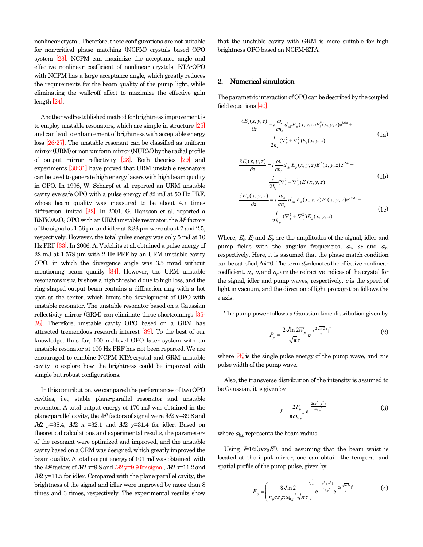nonlinear crystal. Therefore, these configurations are not suitable for non-critical phase matching (NCPM) crystals based OPO system [23]. NCPM can maximize the acceptance angle and effective nonlinear coefficient of nonlinear crystals. KTA-OPO with NCPM has a large acceptance angle, which greatly reduces the requirements for the beam quality of the pump light, while eliminating the walk-off effect to maximize the effective gain length [24].

Another well-established method for brightness improvement is to employ unstable resonators, which are simple in structure [25**]**  and can lead to enhancement of brightness with acceptable energy loss [26-27]. The unstable resonant can be classified as uniform mirror (URM) or non-uniform mirror (NURM) by the radial profile of output mirror reflectivity [28]. Both theories [29] and experiments [30-31] have proved that URM unstable resonators can be used to generate high energy lasers with high beam quality in OPO. In 1998, W. Scharpf et al. reported an URM unstable cavity eye-safe OPO with a pulse energy of 82 mJ at 50 Hz PRF, whose beam quality was measured to be about 4.7 times diffraction limited [32]. In 2001, G. Hansson et al*.* reported a RbTiOAsO4 OPO with an URM unstable resonator, the *M*<sup>2</sup> factors of the signal at 1.56 μm and idler at 3.33 μm were about 7 and 2.5, respectively. However, the total pulse energy was only 5 mJ at 10 Hz PRF [33]. In 2006, A. Vodchits et al. obtained a pulse energy of 22 mJ at 1.578 μm with 2 Hz PRF by an URM unstable cavity OPO, in which the divergence angle was 3.5 mrad without mentioning beam quality [34]. However, the URM unstable resonators usually show a high threshold due to high loss, and the ring-shaped output beam contains a diffraction ring with a hot spot at the center, which limits the development of OPO with unstable resonator. The unstable resonator based on a Gaussian reflectivity mirror (GRM) can eliminate these shortcomings [35- 38]. Therefore, unstable cavity OPO based on a GRM has attracted tremendous research interest [39]. To the best of our knowledge, thus far, 100 mJ-level OPO laser system with an unstable resonator at 100 Hz PRF has not been reported. We are encouraged to combine NCPM KTA-crystal and GRM unstable cavity to explore how the brightness could be improved with simple but robust configurations.

In this contribution, we compared the performances of two OPO cavities, i.e., stable plane-parallel resonator and unstable resonator. A total output energy of 170 mJ was obtained in the plane-parallel cavity, the *M*<sup>2</sup> factors of signal were *M*2 *x* =39.8 and *M*2 *y*=38.4, *M*2 *x* =32.1 and *M*2 y=31.4 for idler. Based on theoretical calculations and experimental results, the parameters of the resonant were optimized and improved, and the unstable cavity based on a GRM was designed, which greatly improved the beam quality. A total output energy of 101 mJ was obtained, with the *M*<sup>2</sup> factors of *M*<sup>2</sup> *x*=9.8 and *M*<sup>2</sup> *y*=9.9 for signal, *M*<sup>2</sup> *x*=11.2 and *M*2 y=11.5 for idler. Compared with the plane-parallel cavity, the brightness of the signal and idler were improved by more than 8 times and 3 times, respectively. The experimental results show

that the unstable cavity with GRM is more suitable for high brightness OPO based on NCPM-KTA.

## **2. Numerical simulation**

The parametric interaction of OPO can be described by the coupled field equations [40].

$$
\frac{\partial E_s(x, y, z)}{\partial z} = i \frac{\omega_s}{cn_s} d_{\text{eff}} E_p(x, y, z) E_i^*(x, y, z) e^{i\Delta k z} +
$$
  

$$
\frac{i}{2k_s} (\nabla_x^2 + \nabla_y^2) E_s(x, y, z)
$$
 (1a)

$$
\frac{\partial E_i(x, y, z)}{\partial z} = i \frac{\omega_i}{cn_i} d_{\text{eff}} E_p(x, y, z) E_s^*(x, y, z) e^{i\Delta z} +
$$
\n
$$
\frac{i}{2k_i} (\nabla_x^2 + \nabla_y^2) E_i(x, y, z)
$$
\n
$$
\frac{\partial E_p(x, y, z)}{\partial z} = i \frac{\omega_p}{cn_p} d_{\text{eff}} E_s(x, y, z) E_i(x, y, z) e^{-i\Delta z} +
$$
\n
$$
\frac{i}{2k_p} (\nabla_x^2 + \nabla_y^2) E_s(x, y, z)
$$
\n(1c)

Where,  $E_s$ ,  $E_i$  and  $E_p$  are the amplitudes of the signal, idler and pump fields with the angular frequencies, *<sup>ω</sup>s*, *<sup>ω</sup><sup>i</sup>* and *<sup>ω</sup>p*, respectively. Here, it is assumed that the phase match condition can be satisfied,  $\Delta k=0$ . The term  $d_{\text{eff}}$  denotes the effective nonlinear coefficient.  $n_s$ ,  $n_i$  and  $n_p$  are the refractive indices of the crystal for the signal, idler and pump waves, respectively. *c* is the speed of light in vacuum, and the direction of light propagation follows the z axis.

The pump power follows a Gaussian time distribution given by

$$
P_p = \frac{2\sqrt{\ln 2}W_p}{\sqrt{\pi}\tau} e^{-\left(\frac{2\sqrt{\ln 2}t}{\tau}\right)^2}
$$
 (2)

where  $W_p$  is the single pulse energy of the pump wave, and  $\tau$  is pulse width of the pump wave.

Also, the transverse distribution of the intensity is assumed to be Gaussian, it is given by

$$
I = \frac{2P_p}{\pi \omega_{0,p}^2} e^{\frac{-2(x^2 + y^2)}{\omega_{0,p}^2}}
$$
 (3)

where  $\omega_{0,p}$  represents the beam radius.

Using  $E=1/2(nce_0E^2)$ , and assuming that the beam waist is located at the input mirror, one can obtain the temporal and spatial profile of the pump pulse, given by

$$
E_p = \left(\frac{8\sqrt{\ln 2}}{n_p c \epsilon_0 \pi \omega_{0,p}^2 \sqrt{\pi \tau}}\right)^{\frac{1}{2}} e^{-\frac{(x^2 + y^2)}{\omega_{0,p}^2}} e^{-2(\frac{\sqrt{\ln 2}t}{\tau})^2}
$$
(4)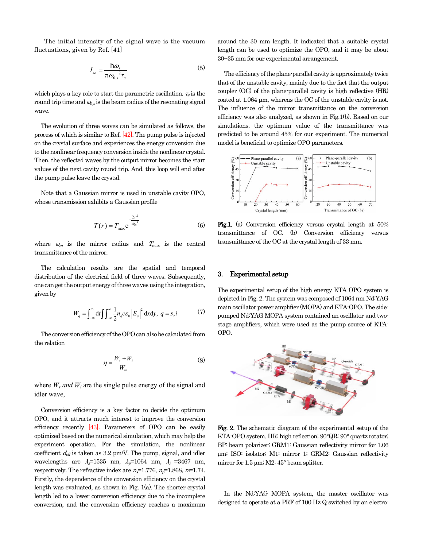The initial intensity of the signal wave is the vacuum fluctuations, given byRef.[41]

$$
I_{so} = \frac{\hbar \omega_s}{\pi \omega_{0,s}^2 \tau_s}
$$
 (5) The efficiency of the plane-p

which plays a key role to start the parametric oscillation. *<sup>τ</sup>s* is the round trip time and  $\omega_{0,s}$  is the beam radius of the resonating signal wave.

The evolution of three waves can be simulated as follows, the process of which is similar to Ref. [42]. The pump pulse is injected on the crystal surface and experiences the energy conversion due to the nonlinear frequency conversion inside the nonlinear crystal. Then, the reflected waves by the output mirror becomes the start values of the next cavity round trip. And, this loop will end after the pump pulse leave the crystal.

Note that a Gaussian mirror is used in unstable cavity OPO, whose transmission exhibits a Gaussian profile

$$
T(r) = T_{\text{max}} e^{-\frac{2r^2}{\omega_m^2}}
$$
 (6) Fig.1. (a)

where  $\omega_m$  is the mirror radius and  $T_{\text{max}}$  is the central transmittance of the mirror.

The calculation results are the spatial and temporal distribution of the electrical field of three waves. Subsequently, one can get the output energy of three waves using the integration, given by

$$
W_q = \int_{-\infty}^{\infty} dt \iint_{-\infty}^{\infty} \frac{1}{2} n_q c \varepsilon_0 \left| E_q \right|^2 dx dy, \ q = s, i \tag{7}
$$

The conversion efficiency of the OPO can also be calculated from the relation

$$
\eta = \frac{W_s + W_i}{W_{in}} \tag{8}
$$

where  $W_s$  *and*  $W_i$  are the single pulse energy of the signal and idler wave,

Conversion efficiency is a key factor to decide the optimum OPO, and it attracts much interest to improve the conversion efficiency recently [43]. Parameters of OPO can be easily optimized based on the numerical simulation, which may help the experiment operation. For the simulation, the nonlinear coefficient  $d_{\text{eff}}$  is taken as 3.2 pm/V. The pump, signal, and idler wavelengths are *λs*=1535 nm, *λp*=1064 nm, *λ<sup>i</sup>* =3467 nm, respectively. The refractive index are  $n_s$ =1.776,  $n_p$ =1.868,  $n_l$ =1.74. Firstly, the dependence of the conversion efficiency on the crystal length was evaluated, as shown in Fig. 1(a). The shorter crystal length led to a lower conversion efficiency due to the incomplete conversion, and the conversion efficiency reaches a maximum

around the 30 mm length. It indicated that a suitable crystal length can be used to optimize the OPO, and it may be about 30~35 mm for our experimental arrangement.

 $\omega_a$   $^2\tau$  The efficiency of the plane-parallel cavity is approximately twice that of the unstable cavity, mainly due to the fact that the output coupler (OC) of the plane-parallel cavity is high reflective (HR) coated at 1.064 μm, whereas the OC of the unstable cavity is not. The influence of the mirror transmittance on the conversion efficiency was also analyzed, as shown in Fig.1(b). Based on our simulations, the optimum value of the transmittance was predicted to be around 45% for our experiment. The numerical model is beneficial to optimize OPO parameters.



 $T(r) = T_{\text{max}} e^{-\omega_m^2}$  (6) Fig.1. (a) Conversion efficiency versus crystal length at 50% transmittance of OC. (b) Conversion efficiency versus transmittance of the OC at the crystal length of 33 mm.

# **3. Experimental setup**

 $\int_{-\infty}^{\infty} dt \int_{-\infty}^{\infty} \frac{1}{2} n_q c \varepsilon_0 \left| E_q \right|^2 dx dy$ ,  $q = s, i$  (7) main oscillator power amplifier (MOPA) and KTA-OPO. The side-<br>pumped Nd:YAG MOPA system contained an oscillator and two-The experimental setup of the high energy KTA OPO system is depicted in Fig. 2. The system was composed of 1064 nm Nd:YAG main oscillator power amplifier (MOPA) and KTA-OPO. The sidestage amplifiers, which were used as the pump source of KTA-OPO.



**Fig. 2.** The schematic diagram of the experimental setup of the KTA-OPO system. HR: high reflection; 90°QR: 90° quartz rotator; BP: beam polarizer; GRM1: Gaussian reflectivity mirror for 1.06 m; ISO: isolator; M1: mirror 1; GRM2: Gaussian reflectivity mirror for  $1.5 \mu m$ ; M2:  $45^{\circ}$  beam splitter.

In the Nd:YAG MOPA system, the master oscillator was designed to operate at a PRF of 100 Hz Q-switched by an electro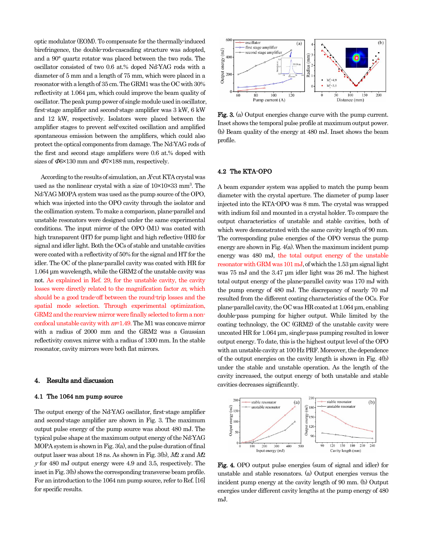optic modulator (EOM). To compensate for the thermally-induced birefringence, the double-rods-cascading structure was adopted, and a 90° quartz rotator was placed between the two rods. The oscillator consisted of two 0.6 at.% doped Nd:YAG rods with a diameter of 5 mm and a length of 75 mm, which were placed in a resonator with a length of 35 cm. The GRM1 was the OC with 30% reflectivity at 1.064 μm, which could improve the beam quality of oscillator. The peak pump power of single module used in oscillator, first-stage amplifier and second-stage amplifier was 3 kW, 6 kW and 12 kW, respectively. Isolators were placed between the amplifier stages to prevent self-excited oscillation and amplified spontaneous emission between the amplifiers, which could also protect the optical components from damage. The Nd:YAG rods of the first and second stage amplifiers were 0.6 at.% doped with sizes of *Φ*6×130 mm and *Φ*7×188 mm, respectively.

According to the results of simulation, an *X*-cut KTA crystal was used as the nonlinear crystal with a size of  $10\times10\times33$  mm<sup>3</sup>. The Nd:YAG MOPA system was used as the pump source of the OPO, which was injected into the OPO cavity through the isolator and the collimation system. To make a comparison, plane-parallel and unstable resonators were designed under the same experimental conditions. The input mirror of the OPO (M1) was coated with high transparent (HT) for pump light and high reflective (HR) for signal and idler light. Both the OCs of stable and unstable cavities were coated with a reflectivity of 50% for the signal and HT for the idler. The OC of the plane-parallel cavity was coated with HR for 1.064 μm wavelength, while the GRM2 of the unstable cavity was not. As explained in Ref. 29, for the unstable cavity, the cavity losses were directly related to the magnification factor *m*, which should be a good trade-off between the round-trip losses and the spatial mode selection. Through experimental optimization, GRM2 and the rearview mirror were finally selected to form a nonconfocal unstable cavity with *m*=1.49. The M1 was concave mirror with a radius of 2000 mm and the GRM2 was a Gaussian reflectivity convex mirror with a radius of 1300 mm. In the stable resonator, cavity mirrors were both flat mirrors.

## **4. Results and discussion**

#### **4.1 The 1064 nm pump source**

The output energy of the Nd:YAG oscillator, first-stage amplifier and second-stage amplifier are shown in Fig. 3. The maximum output pulse energy of the pump source was about 480 mJ. The typical pulse shape at the maximum output energy of the Nd:YAG MOPA system is shown in Fig. 3(a), and the pulse duration of final output laser was about 18 ns. As shown in Fig. 3(b), *M*2 *x* and *M*2 *<sup>y</sup>* for 480 mJ output energy were 4.9 and 3.5, respectively. The inset in Fig. 3(b) shows the corresponding transverse beam profile. For an introduction to the 1064 nm pump source, refer to Ref. [16] for specific results.



**Fig. 3.** (a) Output energies change curve with the pump current. Inset shows the temporal pulse profile at maximum output power. (b) Beam quality of the energy at 480 mJ. Inset shows the beam profile.

## **4.2 The KTA-OPO**

A beam expander system was applied to match the pump beam diameter with the crystal aperture. The diameter of pump laser injected into the KTA-OPO was 8 mm. The crystal was wrapped with indium foil and mounted in a crystal holder. To compare the output characteristics of unstable and stable cavities, both of which were demonstrated with the same cavity length of 90 mm. The corresponding pulse energies of the OPO versus the pump energy are shown in Fig. 4(a). When the maximum incident pump energy was 480 mJ, the total output energy of the unstable resonator with GRM was 101 mJ, of which the 1.53 μm signal light was 75 mJ and the 3.47 μm idler light was 26 mJ. The highest total output energy of the plane-parallel cavity was 170 mJ with the pump energy of 480 mJ. The discrepancy of nearly 70 mJ resulted from the different coating characteristics of the OCs. For plane-parallel cavity, the OC was HR coated at 1.064 μm, enabling double-pass pumping for higher output. While limited by the coating technology, the OC (GRM2) of the unstable cavity were uncoated HR for 1.064 μm, single-pass pumping resulted in lower output energy. To date, this is the highest output level of the OPO with an unstable cavity at 100 Hz PRF. Moreover, the dependence of the output energies on the cavity length is shown in Fig. 4(b) under the stable and unstable operation. As the length of the cavity increased, the output energy of both unstable and stable cavities decreases significantly.



**Fig. 4.** OPO output pulse energies (sum of signal and idler) for unstable and stable resonators. (a) Output energies versus the incident pump energy at the cavity length of 90 mm. (b) Output energies under different cavity lengths at the pump energy of 480 mJ.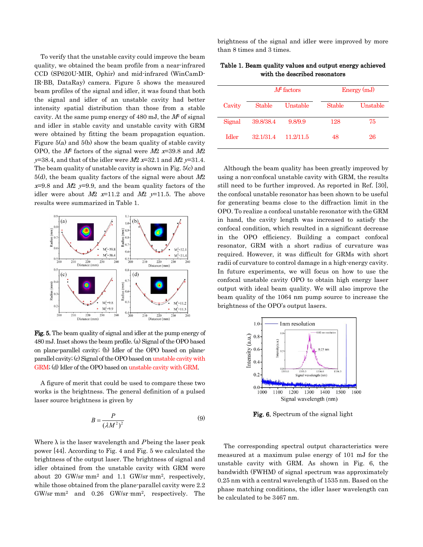To verify that the unstable cavity could improve the beam quality, we obtained the beam profile from a near-infrared CCD (SP620U-MIR, Ophir) and mid-infrared (WinCamD-IR-BB, DataRay) camera. Figure 5 shows the measured beam profiles of the signal and idler, it was found that both the signal and idler of an unstable cavity had better intensity spatial distribution than those from a stable cavity. At the same pump energy of 480 mJ, the *M*<sup>2</sup> of signal and idler in stable cavity and unstable cavity with GRM were obtained by fitting the beam propagation equation. Figure 5(a) and 5(b) show the beam quality of stable cavity OPO, the *M*<sup>2</sup> factors of the signal were *M*2 *x*=39.8 and *M*2 *<sup>y</sup>*=38.4, and that of the idler were *M*2 *x*=32.1 and *M*2 *y*=31.4. The beam quality of unstable cavity is shown in Fig. 5(c) and 5(d), the beam quality factors of the signal were about *M*2 *<sup>x</sup>*=9.8 and *M*2 *y*=9.9, and the beam quality factors of the idler were about  $M2$  *x*=11.2 and  $M2$  *y*=11.5. The above results were summarized in Table 1.



**Fig. 5.** The beam quality of signal and idler at the pump energy of 480 mJ. Inset shows the beam profile. (a) Signal of the OPO based on plane-parallel cavity; (b) Idler of the OPO based on planeparallel cavity; (c) Signal of the OPO based on unstable cavity with GRM; (d) Idler of the OPO based on unstable cavity with GRM.

A figure of merit that could be used to compare these two works is the brightness. The general definition of a pulsed laser source brightness is given by

$$
B = \frac{P}{\left(\lambda M^2\right)^2}
$$
 (9) Fig. 6. Spectrum of the sign

Where λ is the laser wavelength and *P* being the laser peak power [44]. According to Fig. 4 and Fig. 5 we calculated the brightness of the output laser. The brightness of signal and idler obtained from the unstable cavity with GRM were about 20 GW/sr  $mm^2$  and 1.1 GW/sr  $mm^2$ , respectively, while those obtained from the plane-parallel cavity were 2.2  $GW/sr$  mm<sup>2</sup> and 0.26 GW/sr mm<sup>2</sup>, respectively. The brightness of the signal and idler were improved by more than 8 times and 3 times.

|              | $M\!P$ factors |           | Energy (mJ)   |          |
|--------------|----------------|-----------|---------------|----------|
| Cavity       | <b>Stable</b>  | Unstable  | <b>Stable</b> | Unstable |
| Signal       | 39.8/38.4      | 9.8/9.9   | 128           | 75       |
| <b>Idler</b> | 32.1/31.4      | 11.2/11.5 | 48            | 26       |

**Table 1. Beam quality values and output energy achieved with the described resonators**

Although the beam quality has been greatly improved by using a non-confocal unstable cavity with GRM, the results still need to be further improved. As reported in Ref. [30], the confocal unstable resonator has been shown to be useful for generating beams close to the diffraction limit in the OPO. To realize a confocal unstable resonator with the GRM in hand, the cavity length was increased to satisfy the confocal condition, which resulted in a significant decrease in the OPO efficiency. Building a compact confocal resonator, GRM with a short radius of curvature was required. However, it was difficult for GRMs with short radii of curvature to control damage in a high-energy cavity. In future experiments, we will focus on how to use the confocal unstable cavity OPO to obtain high energy laser output with ideal beam quality. We will also improve the beam quality of the 1064 nm pump source to increase the brightness of the OPO's output lasers.



**Fig. 6.** Spectrum of the signal light

The corresponding spectral output characteristics were measured at a maximum pulse energy of 101 mJ for the unstable cavity with GRM. As shown in Fig. 6, the bandwidth (FWHM) of signal spectrum was approximately 0.25 nm with a central wavelength of 1535 nm. Based on the phase matching conditions, the idler laser wavelength can be calculated to be 3467 nm.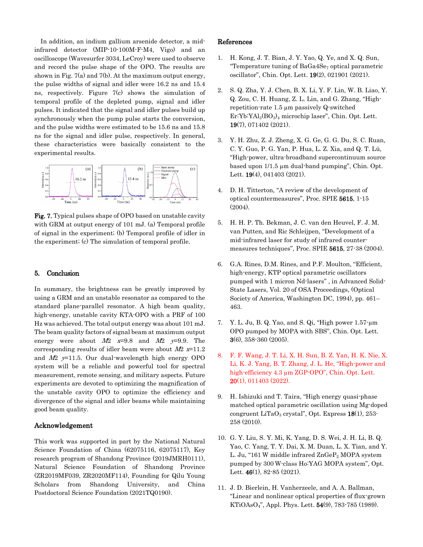In addition, an indium gallium arsenide detector, a midinfrared detector (MIP-10-100M-F-M4, Vigo) and an oscilloscope (Wavesurfer 3034, LeCroy) were used to observe and record the pulse shape of the OPO. The results are shown in Fig. 7(a) and 7(b). At the maximum output energy, the pulse widths of signal and idler were 16.2 ns and 15.4 ns, respectively. Figure 7(c) shows the simulation of temporal profile of the depleted pump, signal and idler pulses. It indicated that the signal and idler pulses build up synchronously when the pump pulse starts the conversion, and the pulse widths were estimated to be 15.6 ns and 15.8 ns for the signal and idler pulse, respectively. In general, these characteristics were basically consistent to the experimental results.



**Fig. 7.** Typical pulses shape of OPO based on unstable cavity with GRM at output energy of 101 mJ. (a) Temporal profile of signal in the experiment; (b) Temporal profile of idler in the experiment; (c) The simulation of temporal profile.

# **5. Conclusion**

In summary, the brightness can be greatly improved by using a GRM and an unstable resonator as compared to the standard plane-parallel resonator. A high beam quality, high-energy, unstable cavity KTA-OPO with a PRF of 100 Hz was achieved. The total output energy was about 101 mJ. The beam quality factors of signal beam at maximum output energy were about  $M2$  *x*=9.8 and  $M2$  *y*=9.9. The corresponding results of idler beam were about *M*2 *x*=11.2 and *M*2 *y*=11.5. Our dual-wavelength high energy OPO system will be a reliable and powerful tool for spectral measurement, remote sensing, and military aspects. Future experiments are devoted to optimizing the magnification of the unstable cavity OPO to optimize the efficiency and divergence of the signal and idler beams while maintaining good beam quality.

# **Acknowledgement**

This work was supported in part by the National Natural Science Foundation of China (62075116, 62075117), Key research program of Shandong Province (2019JMRH0111), Natural Science Foundation of Shandong Province (ZR2019MF039, ZR2020MF114), Founding for Qilu Young Scholars from Shandong University, and China Postdoctoral Science Foundation (2021TQ0190).

## **References**

- 1. H. Kong, J. T. Bian, J. Y. Yao, Q. Ye, and X. Q. Sun, "Temperature tuning of  $BaGa4Se<sub>7</sub>$  optical parametric oscillator", Chin. Opt. Lett. **19**(2), 021901 (2021).
- 2. S. Q. Zha, Y. J. Chen, B. X. Li, Y. F. Lin, W. B. Liao, Y. Q. Zou, C. H. Huang, Z. L. Lin, and G. Zhang, "Highrepetition-rate 1.5 µm passively Q-switched  $Er:Yb:YA1<sub>3</sub>(BO<sub>3</sub>)<sub>4</sub> microchip laser$ ", Chin. Opt. Lett. **19**(7), 071402 (2021).
- 3. Y. H. Zhu, Z. J. Zheng, X. G. Ge, G. G. Du, S. C. Ruan, C. Y. Guo, P. G. Yan, P. Hua, L. Z. Xia, and Q. T. Lü, "High-power, ultra-broadband supercontinuum source based upon 1/1.5 µm dual-band pumping", Chin. Opt. Lett. **19**(4), 041403 (2021).
- 4. D. H. Titterton, "A review of the development of optical countermeasures", Proc. SPIE **5615**, 1-15 (2004).
- 5. H. H. P. Th. Bekman, J. C. van den Heuvel, F. J. M. van Putten, and Ric Schleijpen, "Development of a mid-infrared laser for study of infrared countermeasures techniques", Proc. SPIE **5615**, 27-38 (2004).
- 6. G.A. Rines, D.M. Rines, and P.F. Moulton, "Efficient, high-energy, KTP optical parametric oscillators pumped with 1 micron Nd-lasers" , in Advanced Solid-State Lasers, Vol. 20 of OSA Proceedings, (Optical Society of America, Washington DC, 1994), pp. 461– 463.
- 7. Y. L. Ju, B. Q. Yao, and S. Qi, "High power 1.57-µm OPO pumped by MOPA with SBS", Chin. Opt. Lett. **3**(6), 358-360 (2005).
- 8. F. F. Wang, J. T. Li, X. H. Sun, B. Z. Yan, H. K. Nie, X. Li, K. J. Yang, B. T. Zhang, J. L. He, "High-power and high-efficiency 4.3 µm ZGP-OPO", Chin. Opt. Lett. **20**(1), 011403 (2022).
- 9. H. Ishizuki and T. Taira, "High energy quasi-phase matched optical parametric oscillation using Mg-doped congruent LiTaO3 crystal", Opt. Express **18**(1), 253- 258 (2010).
- 10. G. Y. Liu, S. Y. Mi, K. Yang, D. S. Wei, J. H. Li, B. Q. Yao, C. Yang, T. Y. Dai, X. M. Duan, L. X. Tian, and Y. L. Ju, "161 W middle infrared  $\text{ZnGeP}_2$  MOPA system pumped by 300 W-class Ho:YAG MOPA system", Opt. Lett. **46**(1), 82-85 (2021).
- 11. J. D. Bierlein, H. Vanherzeele, and A. A. Ballman, "Linear and nonlinear optical properties of flux-grown KTiOAsO4", Appl. Phys. Lett. **54**(9), 783-785 (1989).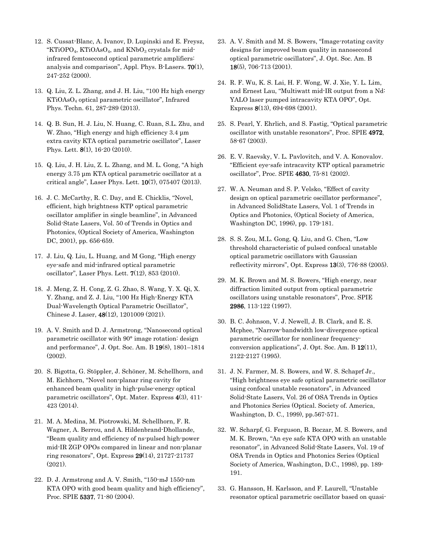- 12. S. Cussat-Blanc, A. Ivanov, D. Lupinski and E. Freysz, "KTiOPO<sub>4</sub>, KTiOAsO<sub>4</sub>, and KNbO<sub>3</sub> crystals for midinfrared femtosecond optical parametric amplifiers: analysis and comparison", Appl. Phys. B-Lasers. **70**(1), 247-252 (2000).
- 13. Q. Liu, Z. L. Zhang, and J. H. Liu, "100 Hz high energy KTiOAsO4 optical parametric oscillator", Infrared Phys. Techn. 61, 287-289 (2013).
- 14. Q. B. Sun, H. J. Liu, N. Huang, C. Ruan, S.L. Zhu, and W. Zhao, "High energy and high efficiency 3.4 μm extra cavity KTA optical parametric oscillator", Laser Phys. Lett. **8**(1), 16-20 (2010).
- 15. Q. Liu, J. H. Liu, Z. L. Zhang, and M. L. Gong, "A high energy 3.75 μm KTA optical parametric oscillator at a critical angle", Laser Phys. Lett. **10**(7), 075407 (2013).
- 16. J. C. McCarthy, R. C. Day, and E. Chicklis, "Novel, efficient, high brightness KTP optical parametric oscillator amplifier in single beamline", in Advanced Solid-State Lasers, Vol. 50 of Trends in Optics and Photonics, (Optical Society of America, Washington DC, 2001), pp. 656-659.
- 17. J. Liu, Q. Liu, L. Huang, and M Gong, "High energy eye-safe and mid-infrared optical parametric oscillator", Laser Phys. Lett. **7**(12), 853 (2010).
- 18. J. Meng, Z. H. Cong, Z. G. Zhao, S. Wang, Y. X. Qi, X. Y. Zhang, and Z. J. Liu, "100 Hz High-Energy KTA Dual-Wavelength Optical Parametric Oscillator", Chinese J. Laser, **48**(12), 1201009 (2021).
- 19. A. V. Smith and D. J. Armstrong, "Nanosecond optical parametric oscillator with 90° image rotation: design and performance", J. Opt. Soc. Am. B **19**(8), 1801–1814 (2002).
- 20. S. Bigotta, G. Stöppler, J. Schöner, M. Schellhorn, and M. Eichhorn, "Novel non-planar ring cavity for enhanced beam quality in high-pulse-energy optical parametric oscillators", Opt. Mater. Express **4**(3), 411- 423 (2014).
- 21. M. A. Medina, M. Piotrowski, M. Schellhorn, F. R. Wagner, A. Berrou, and A. Hildenbrand-Dhollande, "Beam quality and efficiency of ns-pulsed high-power mid-IR ZGP OPOs compared in linear and non-planar ring resonators", Opt. Express **29**(14), 21727-21737 (2021).
- 22. D. J. Armstrong and A. V. Smith, "150-mJ 1550-nm KTA OPO with good beam quality and high efficiency", Proc. SPIE **5337**, 71-80 (2004).
- 23. A. V. Smith and M. S. Bowers, "Image-rotating cavity designs for improved beam quality in nanosecond optical parametric oscillators", J. Opt. Soc. Am. B **18**(5), 706-713 (2001).
- 24. R. F. Wu, K. S. Lai, H. F. Wong, W. J. Xie, Y. L. Lim, and Ernest Lau, "Multiwatt mid-IR output from a Nd: YALO laser pumped intracavity KTA OPO", Opt. Express **8**(13), 694-698 (2001).
- 25. S. Pearl, Y. Ehrlich, and S. Fastig, "Optical parametric oscillator with unstable resonators", Proc. SPIE **4972**, 58-67 (2003).
- 26. E. V. Raevsky, V. L. Pavlovitch, and V. A. Konovalov. "Efficient eye-safe intracavity KTP optical parametric oscillator", Proc. SPIE **4630**, 75-81 (2002).
- 27. W. A. Neuman and S. P. Velsko, "Effect of cavity design on optical parametric oscillator performance", in Advanced SolidState Lasers, Vol. 1 of Trends in Optics and Photonics, (Optical Society of America, Washington DC, 1996), pp. 179-181.
- 28. S. S. Zou, M.L. Gong, Q. Liu, and G. Chen, "Low threshold characteristic of pulsed confocal unstable optical parametric oscillators with Gaussian reflectivity mirrors", Opt. Express **13**(3), 776-88 (2005).
- 29. M. K. Brown and M. S. Bowers, "High energy, near diffraction limited output from optical parametric oscillators using unstable resonators", Proc. SPIE **2986**, 113-122 (1997).
- 30. B. C. Johnson, V. J. Newell, J. B. Clark, and E. S. Mcphee, "Narrow-bandwidth low-divergence optical parametric oscillator for nonlinear frequencyconversion applications", J. Opt. Soc. Am. B **12**(11), 2122-2127 (1995).
- 31. J. N. Farmer, M. S. Bowers, and W. S. Schaprf Jr., "High brightness eye safe optical parametric oscillator using confocal unstable resonators", in Advanced Solid-State Lasers, Vol. 26 of OSA Trends in Optics and Photonics Series (Optical. Society of. America, Washington, D. C., 1999), pp.567-571.
- 32. W. Scharpf, G. Ferguson, B. Boczar, M. S. Bowers, and M. K. Brown, "An eye safe KTA OPO with an unstable resonator", in Advanced Solid-State Lasers, Vol. 19 of OSA Trends in Optics and Photonics Series (Optical Society of America, Washington, D.C., 1998), pp. 189- 191.
- 33. G. Hansson, H. Karlsson, and F. Laurell, "Unstable resonator optical parametric oscillator based on quasi-